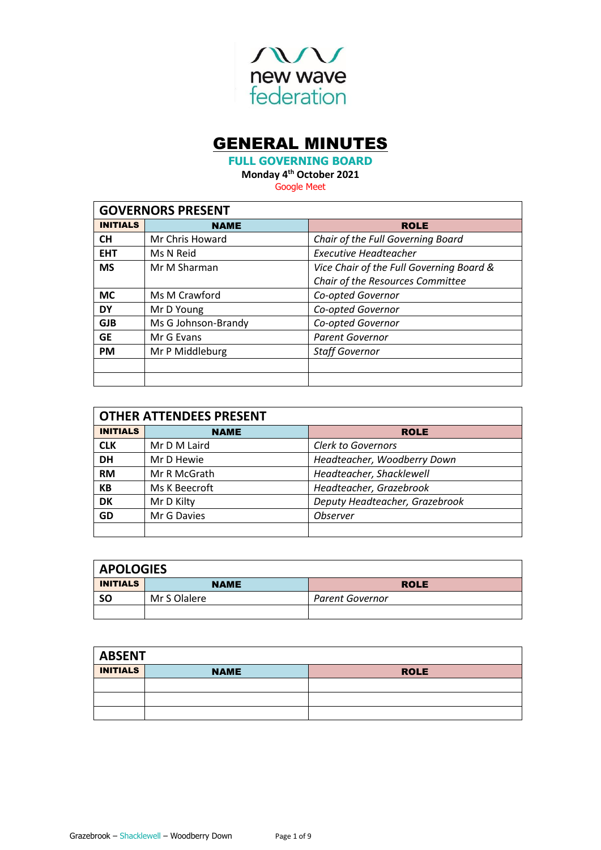

# GENERAL MINUTES

**FULL GOVERNING BOARD**

**Monday 4 th October 2021**

Google Meet

| <b>GOVERNORS PRESENT</b> |                     |                                          |  |  |
|--------------------------|---------------------|------------------------------------------|--|--|
| <b>INITIALS</b>          | <b>NAME</b>         | <b>ROLE</b>                              |  |  |
| <b>CH</b>                | Mr Chris Howard     | Chair of the Full Governing Board        |  |  |
| <b>EHT</b>               | Ms N Reid           | Executive Headteacher                    |  |  |
| <b>MS</b>                | Mr M Sharman        | Vice Chair of the Full Governing Board & |  |  |
|                          |                     | Chair of the Resources Committee         |  |  |
| <b>MC</b>                | Ms M Crawford       | Co-opted Governor                        |  |  |
| <b>DY</b>                | Mr D Young          | Co-opted Governor                        |  |  |
| <b>GJB</b>               | Ms G Johnson-Brandy | Co-opted Governor                        |  |  |
| <b>GE</b>                | Mr G Evans          | <b>Parent Governor</b>                   |  |  |
| <b>PM</b>                | Mr P Middleburg     | <b>Staff Governor</b>                    |  |  |
|                          |                     |                                          |  |  |
|                          |                     |                                          |  |  |

| <b>OTHER ATTENDEES PRESENT</b> |               |                                |  |
|--------------------------------|---------------|--------------------------------|--|
| <b>INITIALS</b>                | <b>NAME</b>   | <b>ROLE</b>                    |  |
| <b>CLK</b>                     | Mr D M Laird  | <b>Clerk to Governors</b>      |  |
| <b>DH</b>                      | Mr D Hewie    | Headteacher, Woodberry Down    |  |
| <b>RM</b>                      | Mr R McGrath  | Headteacher, Shacklewell       |  |
| <b>KB</b>                      | Ms K Beecroft | Headteacher, Grazebrook        |  |
| DK                             | Mr D Kilty    | Deputy Headteacher, Grazebrook |  |
| GD                             | Mr G Davies   | <b>Observer</b>                |  |
|                                |               |                                |  |

| <b>APOLOGIES</b> |              |                 |  |
|------------------|--------------|-----------------|--|
| <b>INITIALS</b>  | <b>NAME</b>  | <b>ROLE</b>     |  |
| -SO              | Mr S Olalere | Parent Governor |  |
|                  |              |                 |  |

| <b>ABSENT</b>   |             |             |
|-----------------|-------------|-------------|
| <b>INITIALS</b> | <b>NAME</b> | <b>ROLE</b> |
|                 |             |             |
|                 |             |             |
|                 |             |             |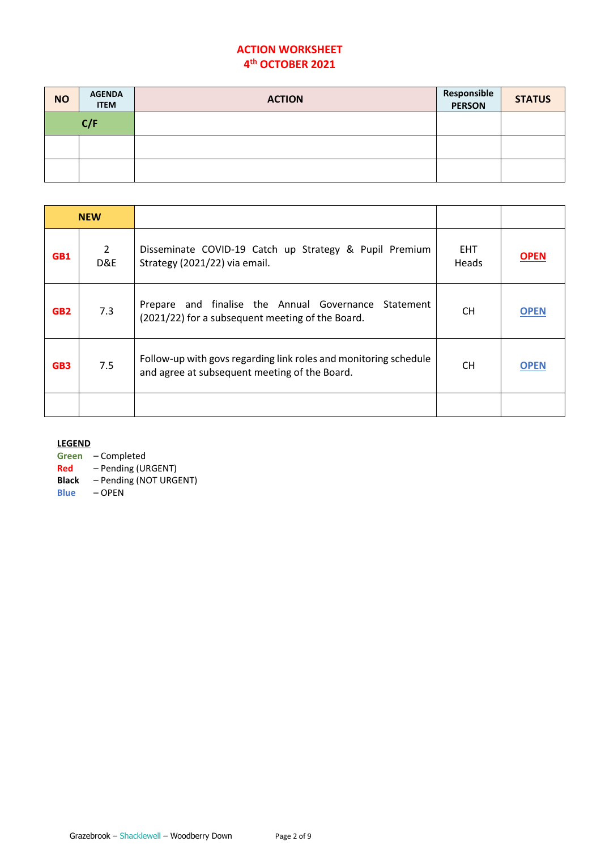# **ACTION WORKSHEET 4 th OCTOBER 2021**

| <b>NO</b> | <b>AGENDA</b><br><b>ITEM</b> | <b>ACTION</b> | Responsible<br><b>PERSON</b> | <b>STATUS</b> |
|-----------|------------------------------|---------------|------------------------------|---------------|
|           | C/F                          |               |                              |               |
|           |                              |               |                              |               |
|           |                              |               |                              |               |

| <b>NEW</b>      |                       |                                                                                                                   |                     |             |
|-----------------|-----------------------|-------------------------------------------------------------------------------------------------------------------|---------------------|-------------|
| GB1             | $\overline{2}$<br>D&E | Disseminate COVID-19 Catch up Strategy & Pupil Premium<br>Strategy (2021/22) via email.                           | <b>EHT</b><br>Heads | <b>OPEN</b> |
| GB <sub>2</sub> | 7.3                   | and finalise the Annual Governance Statement<br>Prepare<br>(2021/22) for a subsequent meeting of the Board.       | <b>CH</b>           | <b>OPEN</b> |
| GB <sub>3</sub> | 7.5                   | Follow-up with govs regarding link roles and monitoring schedule<br>and agree at subsequent meeting of the Board. | <b>CH</b>           | <b>OPEN</b> |
|                 |                       |                                                                                                                   |                     |             |

**LEGEND**

**Green** – Completed

**Red** – Pending (URGENT)

**Black** – Pending (NOT URGENT)

**Blue** – OPEN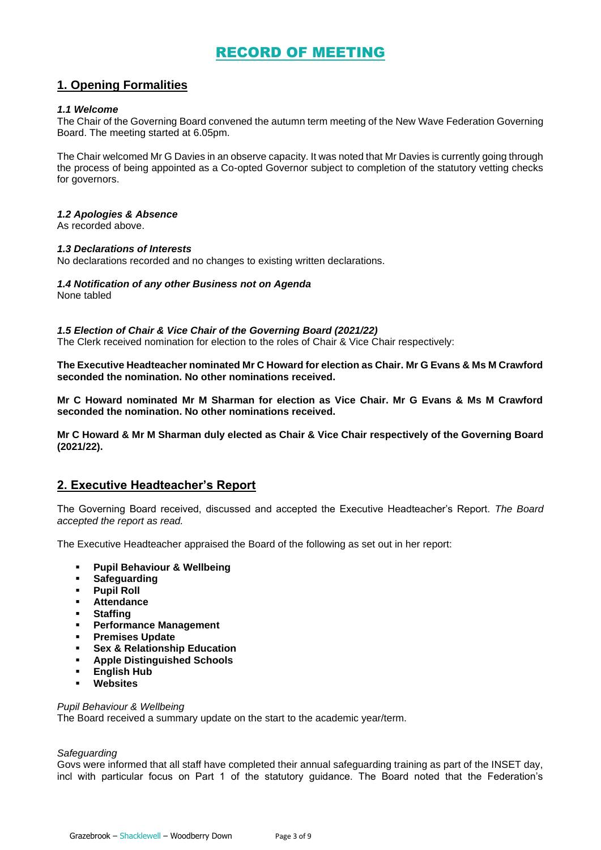# RECORD OF MEETING

# **1. Opening Formalities**

# *1.1 Welcome*

The Chair of the Governing Board convened the autumn term meeting of the New Wave Federation Governing Board. The meeting started at 6.05pm.

The Chair welcomed Mr G Davies in an observe capacity. It was noted that Mr Davies is currently going through the process of being appointed as a Co-opted Governor subject to completion of the statutory vetting checks for governors.

# *1.2 Apologies & Absence*

As recorded above.

## *1.3 Declarations of Interests*

No declarations recorded and no changes to existing written declarations.

# *1.4 Notification of any other Business not on Agenda*

None tabled

# *1.5 Election of Chair & Vice Chair of the Governing Board (2021/22)*

The Clerk received nomination for election to the roles of Chair & Vice Chair respectively:

**The Executive Headteacher nominated Mr C Howard for election as Chair. Mr G Evans & Ms M Crawford seconded the nomination. No other nominations received.** 

**Mr C Howard nominated Mr M Sharman for election as Vice Chair. Mr G Evans & Ms M Crawford seconded the nomination. No other nominations received.** 

**Mr C Howard & Mr M Sharman duly elected as Chair & Vice Chair respectively of the Governing Board (2021/22).** 

# **2. Executive Headteacher's Report**

The Governing Board received, discussed and accepted the Executive Headteacher's Report. *The Board accepted the report as read.* 

The Executive Headteacher appraised the Board of the following as set out in her report:

- **Pupil Behaviour & Wellbeing**
- **Safeguarding**
- **Pupil Roll**
- **Attendance**
- **Staffing**
- **Performance Management**
- **Premises Update**
- **Sex & Relationship Education**
- **Apple Distinguished Schools**
- **English Hub**
- **Websites**

# *Pupil Behaviour & Wellbeing*

The Board received a summary update on the start to the academic year/term.

# *Safeguarding*

Govs were informed that all staff have completed their annual safeguarding training as part of the INSET day, incl with particular focus on Part 1 of the statutory guidance. The Board noted that the Federation's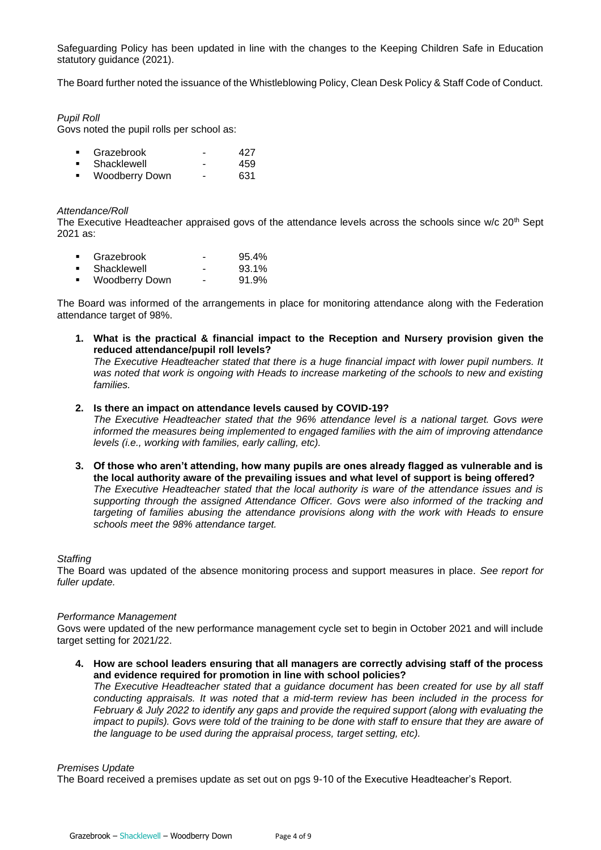Safeguarding Policy has been updated in line with the changes to the Keeping Children Safe in Education statutory guidance (2021).

The Board further noted the issuance of the Whistleblowing Policy, Clean Desk Policy & Staff Code of Conduct.

# *Pupil Roll*

Govs noted the pupil rolls per school as:

|  | Grazebrook |  | 427 |
|--|------------|--|-----|
|--|------------|--|-----|

- Shacklewell 459 ▪ Woodberry Down - 631
- 

# *Attendance/Roll*

The Executive Headteacher appraised govs of the attendance levels across the schools since w/c  $20<sup>th</sup>$  Sept 2021 as:

|                | Grazebrook     | - | 95.4% |
|----------------|----------------|---|-------|
|                | Shacklewell    | - | 93.1% |
| $\blacksquare$ | Woodberry Down | - | 91.9% |

The Board was informed of the arrangements in place for monitoring attendance along with the Federation attendance target of 98%.

**1. What is the practical & financial impact to the Reception and Nursery provision given the reduced attendance/pupil roll levels?**

*The Executive Headteacher stated that there is a huge financial impact with lower pupil numbers. It was noted that work is ongoing with Heads to increase marketing of the schools to new and existing families.*

**2. Is there an impact on attendance levels caused by COVID-19?**

*The Executive Headteacher stated that the 96% attendance level is a national target. Govs were informed the measures being implemented to engaged families with the aim of improving attendance levels (i.e., working with families, early calling, etc).*

**3. Of those who aren't attending, how many pupils are ones already flagged as vulnerable and is the local authority aware of the prevailing issues and what level of support is being offered?** *The Executive Headteacher stated that the local authority is ware of the attendance issues and is supporting through the assigned Attendance Officer. Govs were also informed of the tracking and targeting of families abusing the attendance provisions along with the work with Heads to ensure schools meet the 98% attendance target.*

# *Staffing*

The Board was updated of the absence monitoring process and support measures in place. *See report for fuller update.* 

## *Performance Management*

Govs were updated of the new performance management cycle set to begin in October 2021 and will include target setting for 2021/22.

**4. How are school leaders ensuring that all managers are correctly advising staff of the process and evidence required for promotion in line with school policies?**

*The Executive Headteacher stated that a guidance document has been created for use by all staff conducting appraisals. It was noted that a mid-term review has been included in the process for February & July 2022 to identify any gaps and provide the required support (along with evaluating the impact to pupils). Govs were told of the training to be done with staff to ensure that they are aware of the language to be used during the appraisal process, target setting, etc).*

# *Premises Update*

The Board received a premises update as set out on pgs 9-10 of the Executive Headteacher's Report.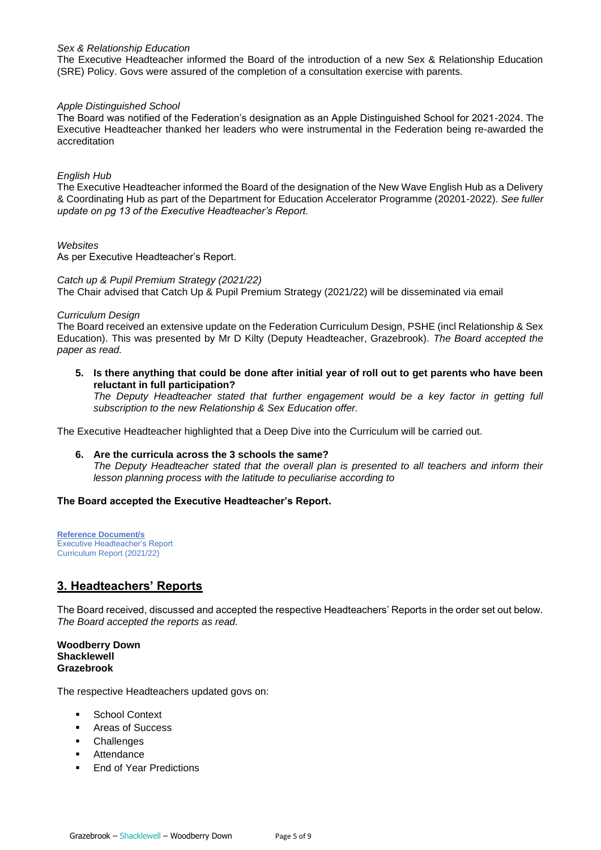# *Sex & Relationship Education*

The Executive Headteacher informed the Board of the introduction of a new Sex & Relationship Education (SRE) Policy. Govs were assured of the completion of a consultation exercise with parents.

# *Apple Distinguished School*

The Board was notified of the Federation's designation as an Apple Distinguished School for 2021-2024. The Executive Headteacher thanked her leaders who were instrumental in the Federation being re-awarded the accreditation

# *English Hub*

The Executive Headteacher informed the Board of the designation of the New Wave English Hub as a Delivery & Coordinating Hub as part of the Department for Education Accelerator Programme (20201-2022). *See fuller update on pg 13 of the Executive Headteacher's Report.* 

# *Websites*

As per Executive Headteacher's Report.

# *Catch up & Pupil Premium Strategy (2021/22)*

The Chair advised that Catch Up & Pupil Premium Strategy (2021/22) will be disseminated via email

# *Curriculum Design*

The Board received an extensive update on the Federation Curriculum Design, PSHE (incl Relationship & Sex Education). This was presented by Mr D Kilty (Deputy Headteacher, Grazebrook). *The Board accepted the paper as read.* 

**5. Is there anything that could be done after initial year of roll out to get parents who have been reluctant in full participation?**

*The Deputy Headteacher stated that further engagement would be a key factor in getting full subscription to the new Relationship & Sex Education offer.*

The Executive Headteacher highlighted that a Deep Dive into the Curriculum will be carried out.

# **6. Are the curricula across the 3 schools the same?** *The Deputy Headteacher stated that the overall plan is presented to all teachers and inform their lesson planning process with the latitude to peculiarise according to*

# **The Board accepted the Executive Headteacher's Report.**

**Reference Document/s** Executive Headteacher's Report Curriculum Report (2021/22)

# **3. Headteachers' Reports**

The Board received, discussed and accepted the respective Headteachers' Reports in the order set out below. *The Board accepted the reports as read.* 

**Woodberry Down Shacklewell Grazebrook**

The respective Headteachers updated govs on:

- **School Context**
- Areas of Success
- Challenges
- Attendance
- End of Year Predictions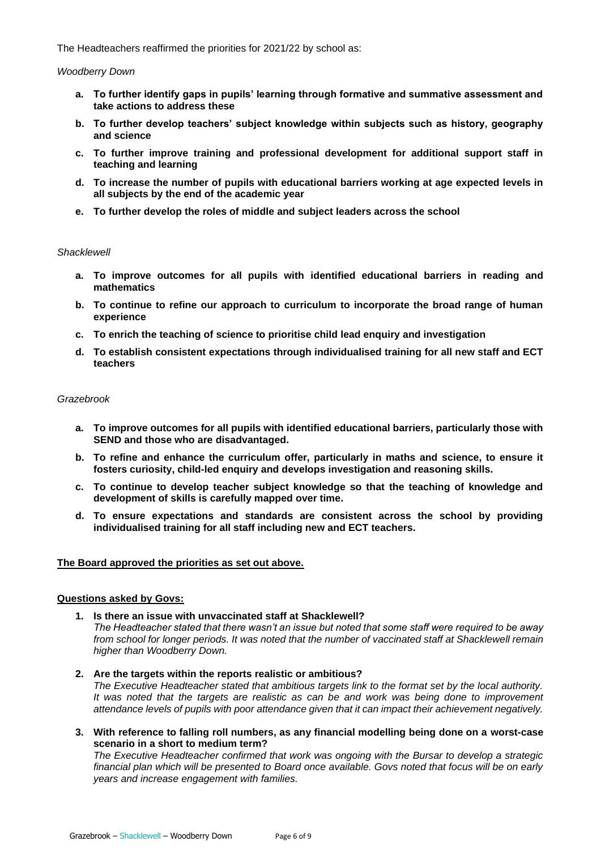The Headteachers reaffirmed the priorities for 2021/22 by school as:

#### *Woodberry Down*

- **a. To further identify gaps in pupils' learning through formative and summative assessment and take actions to address these**
- **b. To further develop teachers' subject knowledge within subjects such as history, geography and science**
- **c. To further improve training and professional development for additional support staff in teaching and learning**
- **d. To increase the number of pupils with educational barriers working at age expected levels in all subjects by the end of the academic year**
- **e. To further develop the roles of middle and subject leaders across the school**

#### *Shacklewell*

- **a. To improve outcomes for all pupils with identified educational barriers in reading and mathematics**
- **b. To continue to refine our approach to curriculum to incorporate the broad range of human experience**
- **c. To enrich the teaching of science to prioritise child lead enquiry and investigation**
- **d. To establish consistent expectations through individualised training for all new staff and ECT teachers**

#### *Grazebrook*

- **a. To improve outcomes for all pupils with identified educational barriers, particularly those with SEND and those who are disadvantaged.**
- **b. To refine and enhance the curriculum offer, particularly in maths and science, to ensure it fosters curiosity, child-led enquiry and develops investigation and reasoning skills.**
- **c. To continue to develop teacher subject knowledge so that the teaching of knowledge and development of skills is carefully mapped over time.**
- **d. To ensure expectations and standards are consistent across the school by providing individualised training for all staff including new and ECT teachers.**

## **The Board approved the priorities as set out above.**

## **Questions asked by Govs:**

- **1. Is there an issue with unvaccinated staff at Shacklewell?** *The Headteacher stated that there wasn't an issue but noted that some staff were required to be away from school for longer periods. It was noted that the number of vaccinated staff at Shacklewell remain higher than Woodberry Down.*
- **2. Are the targets within the reports realistic or ambitious?** *The Executive Headteacher stated that ambitious targets link to the format set by the local authority. It was noted that the targets are realistic as can be and work was being done to improvement attendance levels of pupils with poor attendance given that it can impact their achievement negatively.*
- **3. With reference to falling roll numbers, as any financial modelling being done on a worst-case scenario in a short to medium term?**

*The Executive Headteacher confirmed that work was ongoing with the Bursar to develop a strategic financial plan which will be presented to Board once available. Govs noted that focus will be on early years and increase engagement with families.*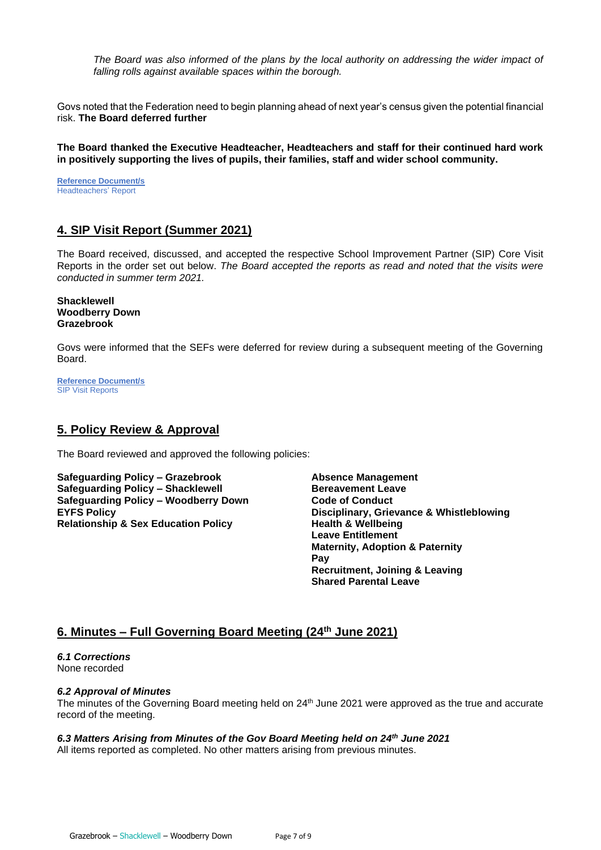*The Board was also informed of the plans by the local authority on addressing the wider impact of falling rolls against available spaces within the borough.* 

Govs noted that the Federation need to begin planning ahead of next year's census given the potential financial risk. **The Board deferred further** 

**The Board thanked the Executive Headteacher, Headteachers and staff for their continued hard work in positively supporting the lives of pupils, their families, staff and wider school community.**

**Reference Document/s** Headteachers' Report

# **4. SIP Visit Report (Summer 2021)**

The Board received, discussed, and accepted the respective School Improvement Partner (SIP) Core Visit Reports in the order set out below. *The Board accepted the reports as read and noted that the visits were conducted in summer term 2021.* 

**Shacklewell Woodberry Down Grazebrook**

Govs were informed that the SEFs were deferred for review during a subsequent meeting of the Governing Board.

**Reference Document/s SIP Visit Reports** 

# **5. Policy Review & Approval**

The Board reviewed and approved the following policies:

**Safeguarding Policy – Grazebrook Absence Management Safeguarding Policy – Shacklewell Bereavement Leave Safeguarding Policy – Woodberry Down Code of Conduct Relationship & Sex Education Policy Fig. 2018 Health & Wellbeing** 

**EYFS Policy Disciplinary, Grievance & Whistleblowing Leave Entitlement Maternity, Adoption & Paternity Pay Recruitment, Joining & Leaving Shared Parental Leave**

# **6. Minutes – Full Governing Board Meeting (24 th June 2021)**

*6.1 Corrections* None recorded

## *6.2 Approval of Minutes*

The minutes of the Governing Board meeting held on 24<sup>th</sup> June 2021 were approved as the true and accurate record of the meeting.

# *6.3 Matters Arising from Minutes of the Gov Board Meeting held on 24 th June 2021*

All items reported as completed. No other matters arising from previous minutes.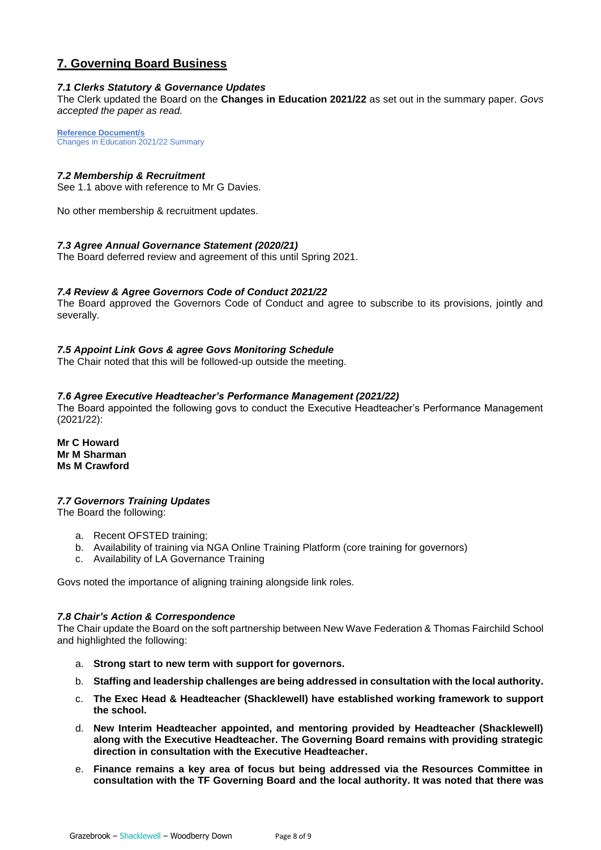# **7. Governing Board Business**

# *7.1 Clerks Statutory & Governance Updates*

The Clerk updated the Board on the **Changes in Education 2021/22** as set out in the summary paper. *Govs accepted the paper as read.* 

**Reference Document/s** Changes in Education 2021/22 Summary

# *7.2 Membership & Recruitment*

See 1.1 above with reference to Mr G Davies.

No other membership & recruitment updates.

# *7.3 Agree Annual Governance Statement (2020/21)*

The Board deferred review and agreement of this until Spring 2021.

# *7.4 Review & Agree Governors Code of Conduct 2021/22*

The Board approved the Governors Code of Conduct and agree to subscribe to its provisions, jointly and severally.

# *7.5 Appoint Link Govs & agree Govs Monitoring Schedule*

The Chair noted that this will be followed-up outside the meeting.

## *7.6 Agree Executive Headteacher's Performance Management (2021/22)*

The Board appointed the following govs to conduct the Executive Headteacher's Performance Management (2021/22):

**Mr C Howard Mr M Sharman Ms M Crawford**

## *7.7 Governors Training Updates*

The Board the following:

- a. Recent OFSTED training;
- b. Availability of training via NGA Online Training Platform (core training for governors)
- c. Availability of LA Governance Training

Govs noted the importance of aligning training alongside link roles.

## *7.8 Chair's Action & Correspondence*

The Chair update the Board on the soft partnership between New Wave Federation & Thomas Fairchild School and highlighted the following:

- a. **Strong start to new term with support for governors.**
- b. **Staffing and leadership challenges are being addressed in consultation with the local authority.**
- c. **The Exec Head & Headteacher (Shacklewell) have established working framework to support the school.**
- d. **New Interim Headteacher appointed, and mentoring provided by Headteacher (Shacklewell) along with the Executive Headteacher. The Governing Board remains with providing strategic direction in consultation with the Executive Headteacher.**
- e. **Finance remains a key area of focus but being addressed via the Resources Committee in consultation with the TF Governing Board and the local authority. It was noted that there was**